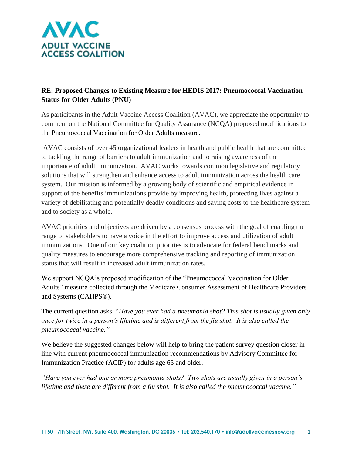

## **RE: Proposed Changes to Existing Measure for HEDIS 2017: Pneumococcal Vaccination Status for Older Adults (PNU)**

As participants in the Adult Vaccine Access Coalition (AVAC), we appreciate the opportunity to comment on the National Committee for Quality Assurance (NCQA) proposed modifications to the Pneumococcal Vaccination for Older Adults measure.

AVAC consists of over 45 organizational leaders in health and public health that are committed to tackling the range of barriers to adult immunization and to raising awareness of the importance of adult immunization. AVAC works towards common legislative and regulatory solutions that will strengthen and enhance access to adult immunization across the health care system. Our mission is informed by a growing body of scientific and empirical evidence in support of the benefits immunizations provide by improving health, protecting lives against a variety of debilitating and potentially deadly conditions and saving costs to the healthcare system and to society as a whole.

AVAC priorities and objectives are driven by a consensus process with the goal of enabling the range of stakeholders to have a voice in the effort to improve access and utilization of adult immunizations. One of our key coalition priorities is to advocate for federal benchmarks and quality measures to encourage more comprehensive tracking and reporting of immunization status that will result in increased adult immunization rates.

We support NCQA's proposed modification of the "Pneumococcal Vaccination for Older Adults" measure collected through the Medicare Consumer Assessment of Healthcare Providers and Systems (CAHPS®).

The current question asks: "*Have you ever had a pneumonia shot? This shot is usually given only once for twice in a person's lifetime and is different from the flu shot. It is also called the pneumococcal vaccine."*

We believe the suggested changes below will help to bring the patient survey question closer in line with current pneumococcal immunization recommendations by Advisory Committee for Immunization Practice (ACIP) for adults age 65 and older.

*"Have you ever had one or more pneumonia shots? Two shots are usually given in a person's lifetime and these are different from a flu shot. It is also called the pneumococcal vaccine."*